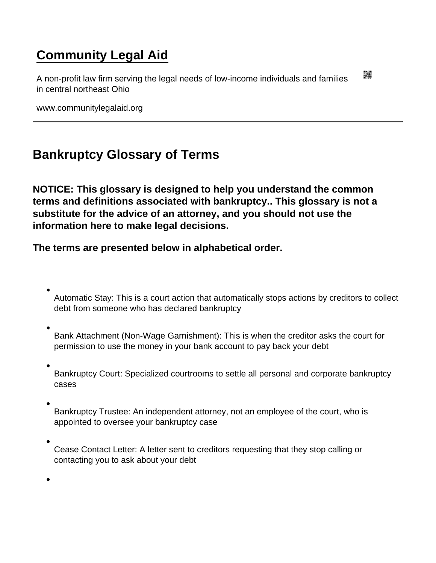## [Community Legal Aid](https://www.communitylegalaid.org/)

A non-profit law firm serving the legal needs of low-income individuals and families in central northeast Ohio

www.communitylegalaid.org

## [Bankruptcy Glossary of Terms](https://www.communitylegalaid.org/node/1350/bankruptcy-glossary-terms)

NOTICE: This glossary is designed to help you understand the common terms and definitions associated with bankruptcy.. This glossary is not a substitute for the advice of an attorney, and you should not use the information here to make legal decisions.

The terms are presented below in alphabetical order.

- Automatic Stay: This is a court action that automatically stops actions by creditors to collect debt from someone who has declared bankruptcy
- Bank Attachment (Non-Wage Garnishment): This is when the creditor asks the court for permission to use the money in your bank account to pay back your debt
- Bankruptcy Court: Specialized courtrooms to settle all personal and corporate bankruptcy cases
- Bankruptcy Trustee: An independent attorney, not an employee of the court, who is appointed to oversee your bankruptcy case
- 

Cease Contact Letter: A letter sent to creditors requesting that they stop calling or contacting you to ask about your debt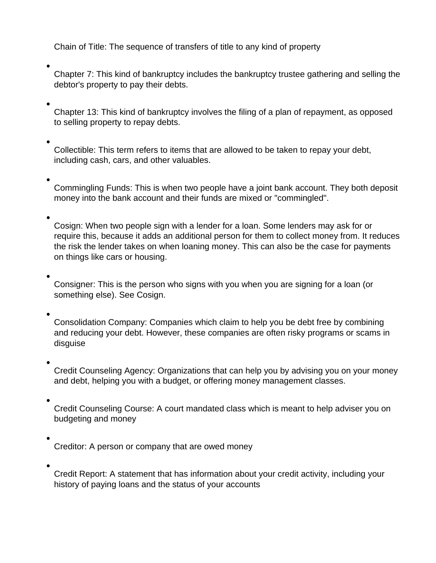Chain of Title: The sequence of transfers of title to any kind of property

Chapter 7: This kind of bankruptcy includes the bankruptcy trustee gathering and selling the debtor's property to pay their debts.

Chapter 13: This kind of bankruptcy involves the filing of a plan of repayment, as opposed to selling property to repay debts.

Collectible: This term refers to items that are allowed to be taken to repay your debt, including cash, cars, and other valuables.

Commingling Funds: This is when two people have a joint bank account. They both deposit money into the bank account and their funds are mixed or "commingled".

Cosign: When two people sign with a lender for a loan. Some lenders may ask for or require this, because it adds an additional person for them to collect money from. It reduces the risk the lender takes on when loaning money. This can also be the case for payments on things like cars or housing.

Consigner: This is the person who signs with you when you are signing for a loan (or something else). See Cosign.

Consolidation Company: Companies which claim to help you be debt free by combining and reducing your debt. However, these companies are often risky programs or scams in disguise

Credit Counseling Agency: Organizations that can help you by advising you on your money and debt, helping you with a budget, or offering money management classes.

Credit Counseling Course: A court mandated class which is meant to help adviser you on budgeting and money

Creditor: A person or company that are owed money

Credit Report: A statement that has information about your credit activity, including your history of paying loans and the status of your accounts